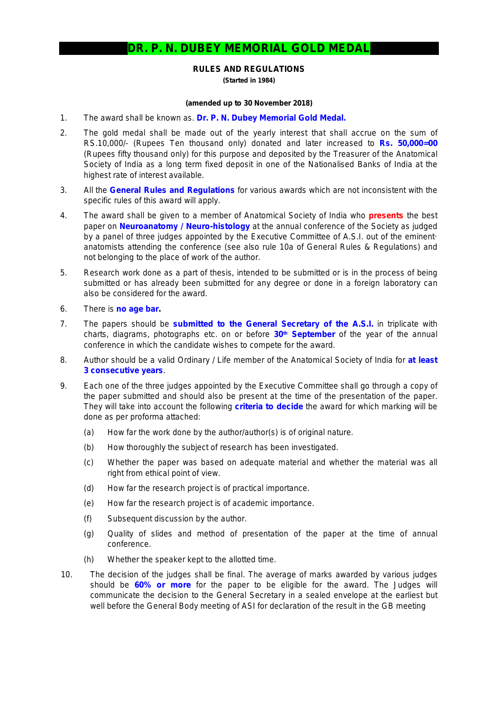## **DR. P. N. DUBEY MEMORIAL GOLD MEDAL**

## **RULES AND REGULATIONS**

**(Started in 1984)**

## **(amended up to 30 November 2018)**

- 1. The award shall be known as. **Dr. P. N. Dubey Memorial Gold Medal.**
- 2. The gold medal shall be made out of the yearly interest that shall accrue on the sum of RS.10,000/- (Rupees Ten thousand only) donated and later increased to **Rs. 50,000=00** (Rupees fifty thousand only) for this purpose and deposited by the Treasurer of the Anatomical Society of India as a long term fixed deposit in one of the Nationalised Banks of India at the highest rate of interest available.
- 3. All the **General Rules and Regulations** for various awards which are not inconsistent with the specific rules of this award will apply.
- 4. The award shall be given to a member of Anatomical Society of India who *presents* the best paper on *Neuroanatomy / Neuro-histology* at the annual conference of the Society as judged by a panel of three judges appointed by the Executive Committee of A.S.I. out of the eminent· anatomists attending the conference *(see also rule 10a of General Rules & Regulations)* and not belonging to the place of work of the author.
- 5. Research work done as a part of thesis, intended to be submitted or is in the process of being submitted or has already been submitted for any degree or done in a foreign laboratory can also be considered for the award.
- 6. There is *no age bar***.**
- 7. The papers should be **submitted to the General Secretary of the A.S.I.** in triplicate with charts, diagrams, photographs etc. on or before **30th September** of the year of the annual conference in which the candidate wishes to compete for the award.
- 8. Author should be a valid Ordinary / Life member of the Anatomical Society of India for **at least 3 consecutive years**.
- 9. Each one of the three judges appointed by the Executive Committee shall go through a copy of the paper submitted and should also be present at the time of the presentation of the paper. They will take into account the following **criteria to decide** the award for which marking will be done as per proforma attached:
	- (a) How far the work done by the author/author(s) is of original nature.
	- (b) How thoroughly the subject of research has been investigated.
	- (c) Whether the paper was based on adequate material and whether the material was all right from ethical point of view.
	- (d) How far the research project is of practical importance.
	- (e) How far the research project is of academic importance.
	- (f) Subsequent discussion by the author.
	- (g) Quality of slides and method of presentation of the paper at the time of annual conference.
	- (h) Whether the speaker kept to the allotted time.
- 10. The decision of the judges shall be final. The average of marks awarded by various judges should be **60% or more** for the paper to be eligible for the award. The Judges will communicate the decision to the General Secretary in a sealed envelope at the earliest but well before the General Body meeting of ASI for declaration of the result in the GB meeting